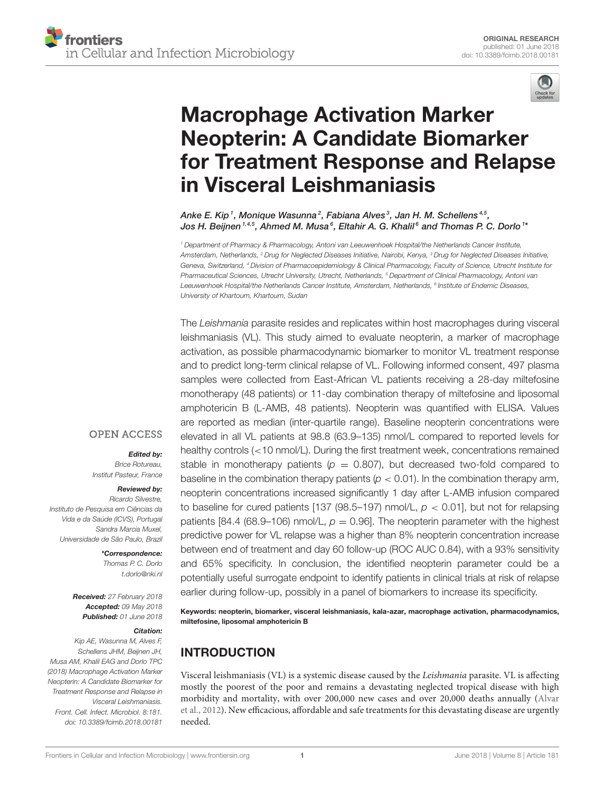

# Macrophage Activation Marker Neopterin: A Candidate Biomarker [for Treatment Response and Relapse](https://www.frontiersin.org/articles/10.3389/fcimb.2018.00181/full) in Visceral Leishmaniasis

[Anke E. Kip](http://loop.frontiersin.org/people/502236/overview)1, Monique Wasunna $^2$ , Fabiana Alves $^3$ , Jan H. M. Schellens $^{\text{4,5}},$ Jos H. Beijnen  $^{1,4,5}$ , Ahmed M. Musa $^6$ , Eltahir A. G. Khalil $^6$  and [Thomas P. C. Dorlo](http://loop.frontiersin.org/people/284935/overview)  $^{1\ast}$ 

<sup>1</sup> Department of Pharmacy & Pharmacology, Antoni van Leeuwenhoek Hospital/the Netherlands Cancer Institute, Amsterdam, Netherlands, <sup>2</sup> Drug for Neglected Diseases Initiative, Nairobi, Kenya, <sup>3</sup> Drug for Neglected Diseases Initiative, Geneva, Switzerland, <sup>4</sup> Division of Pharmacoepidemiology & Clinical Pharmacology, Faculty of Science, Utrecht Institute for Pharmaceutical Sciences, Utrecht University, Utrecht, Netherlands, <sup>5</sup> Department of Clinical Pharmacology, Antoni van Leeuwenhoek Hospital/the Netherlands Cancer Institute, Amsterdam, Netherlands, <sup>s</sup> Institute of Endemic Diseases, University of Khartoum, Khartoum, Sudan

The Leishmania parasite resides and replicates within host macrophages during visceral leishmaniasis (VL). This study aimed to evaluate neopterin, a marker of macrophage activation, as possible pharmacodynamic biomarker to monitor VL treatment response and to predict long-term clinical relapse of VL. Following informed consent, 497 plasma samples were collected from East-African VL patients receiving a 28-day miltefosine monotherapy (48 patients) or 11-day combination therapy of miltefosine and liposomal amphotericin B (L-AMB, 48 patients). Neopterin was quantified with ELISA. Values are reported as median (inter-quartile range). Baseline neopterin concentrations were elevated in all VL patients at 98.8 (63.9–135) nmol/L compared to reported levels for healthy controls (<10 nmol/L). During the first treatment week, concentrations remained stable in monotherapy patients ( $p = 0.807$ ), but decreased two-fold compared to baseline in the combination therapy patients ( $p < 0.01$ ). In the combination therapy arm, neopterin concentrations increased significantly 1 day after L-AMB infusion compared to baseline for cured patients [137 (98.5–197) nmol/L,  $p < 0.01$ ], but not for relapsing patients [84.4 (68.9–106) nmol/L,  $p = 0.96$ ]. The neopterin parameter with the highest predictive power for VL relapse was a higher than 8% neopterin concentration increase between end of treatment and day 60 follow-up (ROC AUC 0.84), with a 93% sensitivity and 65% specificity. In conclusion, the identified neopterin parameter could be a potentially useful surrogate endpoint to identify patients in clinical trials at risk of relapse earlier during follow-up, possibly in a panel of biomarkers to increase its specificity.

Keywords: neopterin, biomarker, visceral leishmaniasis, kala-azar, macrophage activation, pharmacodynamics, miltefosine, liposomal amphotericin B

## INTRODUCTION

Visceral leishmaniasis (VL) is a systemic disease caused by the Leishmania parasite. VL is affecting mostly the poorest of the poor and remains a devastating neglected tropical disease with high morbidity and mortality, with over 200,000 new cases and over 20,000 deaths annually (Alvar et al., [2012\)](#page-7-0). New efficacious, affordable and safe treatments for this devastating disease are urgently needed.

#### **OPEN ACCESS**

#### Edited by:

Brice Rotureau, Institut Pasteur, France

#### Reviewed by:

Ricardo Silvestre, Instituto de Pesquisa em Ciências da Vida e da Saúde (ICVS), Portugal Sandra Marcia Muxel, Universidade de São Paulo, Brazil

#### \*Correspondence:

Thomas P. C. Dorlo [t.dorlo@nki.nl](mailto:t.dorlo@nki.nl)

Received: 27 February 2018 Accepted: 09 May 2018 Published: 01 June 2018

#### Citation:

Kip AE, Wasunna M, Alves F, Schellens JHM, Beijnen JH, Musa AM, Khalil EAG and Dorlo TPC (2018) Macrophage Activation Marker Neopterin: A Candidate Biomarker for Treatment Response and Relapse in Visceral Leishmaniasis. Front. Cell. Infect. Microbiol. 8:181. doi: [10.3389/fcimb.2018.00181](https://doi.org/10.3389/fcimb.2018.00181)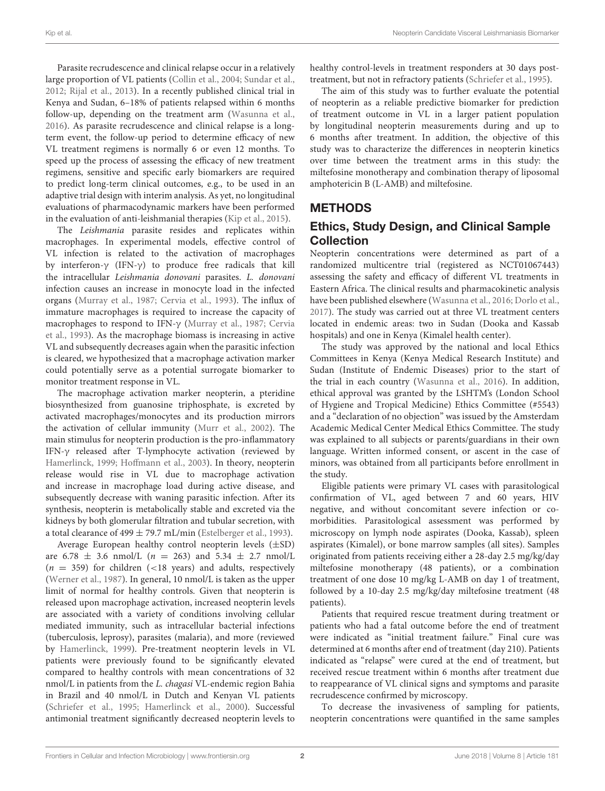Parasite recrudescence and clinical relapse occur in a relatively large proportion of VL patients [\(Collin et al., 2004;](#page-7-1) [Sundar et al.,](#page-7-2) [2012;](#page-7-2) [Rijal et al., 2013\)](#page-7-3). In a recently published clinical trial in Kenya and Sudan, 6–18% of patients relapsed within 6 months follow-up, depending on the treatment arm [\(Wasunna et al.,](#page-7-4) [2016\)](#page-7-4). As parasite recrudescence and clinical relapse is a longterm event, the follow-up period to determine efficacy of new VL treatment regimens is normally 6 or even 12 months. To speed up the process of assessing the efficacy of new treatment regimens, sensitive and specific early biomarkers are required to predict long-term clinical outcomes, e.g., to be used in an adaptive trial design with interim analysis. As yet, no longitudinal evaluations of pharmacodynamic markers have been performed in the evaluation of anti-leishmanial therapies [\(Kip et al., 2015\)](#page-7-5).

The Leishmania parasite resides and replicates within macrophages. In experimental models, effective control of VL infection is related to the activation of macrophages by interferon-γ (IFN-γ) to produce free radicals that kill the intracellular Leishmania donovani parasites. L. donovani infection causes an increase in monocyte load in the infected organs [\(Murray et al., 1987;](#page-7-6) [Cervia et al., 1993\)](#page-7-7). The influx of immature macrophages is required to increase the capacity of macrophages to respond to IFN-γ [\(Murray et al., 1987;](#page-7-6) Cervia et al., [1993\)](#page-7-7). As the macrophage biomass is increasing in active VL and subsequently decreases again when the parasitic infection is cleared, we hypothesized that a macrophage activation marker could potentially serve as a potential surrogate biomarker to monitor treatment response in VL.

The macrophage activation marker neopterin, a pteridine biosynthesized from guanosine triphosphate, is excreted by activated macrophages/monocytes and its production mirrors the activation of cellular immunity [\(Murr et al., 2002\)](#page-7-8). The main stimulus for neopterin production is the pro-inflammatory IFN-γ released after T-lymphocyte activation (reviewed by [Hamerlinck, 1999;](#page-7-9) [Hoffmann et al., 2003\)](#page-7-10). In theory, neopterin release would rise in VL due to macrophage activation and increase in macrophage load during active disease, and subsequently decrease with waning parasitic infection. After its synthesis, neopterin is metabolically stable and excreted via the kidneys by both glomerular filtration and tubular secretion, with a total clearance of  $499 \pm 79.7$  mL/min [\(Estelberger et al., 1993\)](#page-7-11).

Average European healthy control neopterin levels (±SD) are 6.78  $\pm$  3.6 nmol/L (n = 263) and 5.34  $\pm$  2.7 nmol/L  $(n = 359)$  for children (<18 years) and adults, respectively [\(Werner et al., 1987\)](#page-7-12). In general, 10 nmol/L is taken as the upper limit of normal for healthy controls. Given that neopterin is released upon macrophage activation, increased neopterin levels are associated with a variety of conditions involving cellular mediated immunity, such as intracellular bacterial infections (tuberculosis, leprosy), parasites (malaria), and more (reviewed by [Hamerlinck, 1999\)](#page-7-9). Pre-treatment neopterin levels in VL patients were previously found to be significantly elevated compared to healthy controls with mean concentrations of 32 nmol/L in patients from the L. chagasi VL-endemic region Bahia in Brazil and 40 nmol/L in Dutch and Kenyan VL patients [\(Schriefer et al., 1995;](#page-7-13) [Hamerlinck et al., 2000\)](#page-7-14). Successful antimonial treatment significantly decreased neopterin levels to healthy control-levels in treatment responders at 30 days posttreatment, but not in refractory patients [\(Schriefer et al., 1995\)](#page-7-13).

The aim of this study was to further evaluate the potential of neopterin as a reliable predictive biomarker for prediction of treatment outcome in VL in a larger patient population by longitudinal neopterin measurements during and up to 6 months after treatment. In addition, the objective of this study was to characterize the differences in neopterin kinetics over time between the treatment arms in this study: the miltefosine monotherapy and combination therapy of liposomal amphotericin B (L-AMB) and miltefosine.

# **METHODS**

#### Ethics, Study Design, and Clinical Sample **Collection**

Neopterin concentrations were determined as part of a randomized multicentre trial (registered as NCT01067443) assessing the safety and efficacy of different VL treatments in Eastern Africa. The clinical results and pharmacokinetic analysis have been published elsewhere [\(Wasunna et al., 2016;](#page-7-4) [Dorlo et al.,](#page-7-15) [2017\)](#page-7-15). The study was carried out at three VL treatment centers located in endemic areas: two in Sudan (Dooka and Kassab hospitals) and one in Kenya (Kimalel health center).

The study was approved by the national and local Ethics Committees in Kenya (Kenya Medical Research Institute) and Sudan (Institute of Endemic Diseases) prior to the start of the trial in each country [\(Wasunna et al., 2016\)](#page-7-4). In addition, ethical approval was granted by the LSHTM's (London School of Hygiene and Tropical Medicine) Ethics Committee (#5543) and a "declaration of no objection" was issued by the Amsterdam Academic Medical Center Medical Ethics Committee. The study was explained to all subjects or parents/guardians in their own language. Written informed consent, or ascent in the case of minors, was obtained from all participants before enrollment in the study.

Eligible patients were primary VL cases with parasitological confirmation of VL, aged between 7 and 60 years, HIV negative, and without concomitant severe infection or comorbidities. Parasitological assessment was performed by microscopy on lymph node aspirates (Dooka, Kassab), spleen aspirates (Kimalel), or bone marrow samples (all sites). Samples originated from patients receiving either a 28-day 2.5 mg/kg/day miltefosine monotherapy (48 patients), or a combination treatment of one dose 10 mg/kg L-AMB on day 1 of treatment, followed by a 10-day 2.5 mg/kg/day miltefosine treatment (48 patients).

Patients that required rescue treatment during treatment or patients who had a fatal outcome before the end of treatment were indicated as "initial treatment failure." Final cure was determined at 6 months after end of treatment (day 210). Patients indicated as "relapse" were cured at the end of treatment, but received rescue treatment within 6 months after treatment due to reappearance of VL clinical signs and symptoms and parasite recrudescence confirmed by microscopy.

To decrease the invasiveness of sampling for patients, neopterin concentrations were quantified in the same samples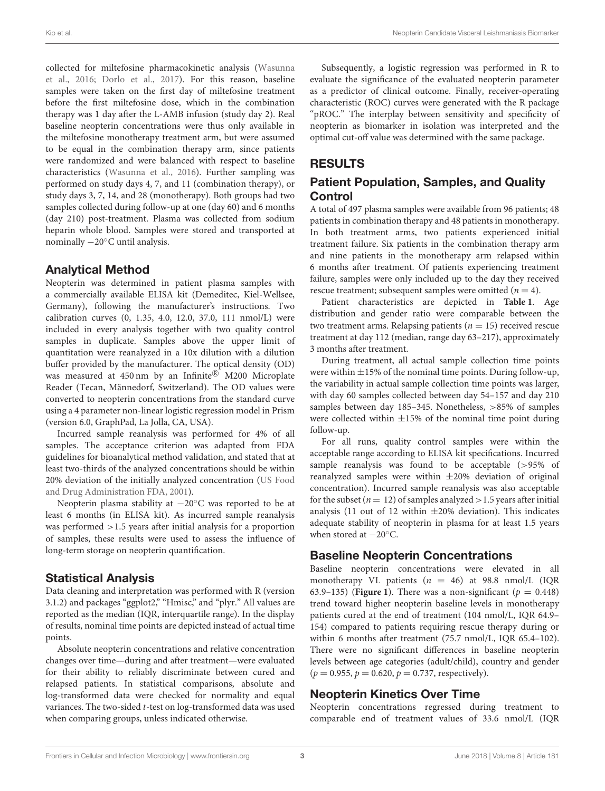Kip et al. Neopterin Candidate Visceral Leishmaniasis Biomarker

collected for miltefosine pharmacokinetic analysis (Wasunna et al., [2016;](#page-7-4) [Dorlo et al., 2017\)](#page-7-15). For this reason, baseline samples were taken on the first day of miltefosine treatment before the first miltefosine dose, which in the combination therapy was 1 day after the L-AMB infusion (study day 2). Real baseline neopterin concentrations were thus only available in the miltefosine monotherapy treatment arm, but were assumed to be equal in the combination therapy arm, since patients were randomized and were balanced with respect to baseline characteristics [\(Wasunna et al., 2016\)](#page-7-4). Further sampling was performed on study days 4, 7, and 11 (combination therapy), or study days 3, 7, 14, and 28 (monotherapy). Both groups had two samples collected during follow-up at one (day 60) and 6 months (day 210) post-treatment. Plasma was collected from sodium heparin whole blood. Samples were stored and transported at nominally −20◦C until analysis.

#### Analytical Method

Neopterin was determined in patient plasma samples with a commercially available ELISA kit (Demeditec, Kiel-Wellsee, Germany), following the manufacturer's instructions. Two calibration curves (0, 1.35, 4.0, 12.0, 37.0, 111 nmol/L) were included in every analysis together with two quality control samples in duplicate. Samples above the upper limit of quantitation were reanalyzed in a 10x dilution with a dilution buffer provided by the manufacturer. The optical density (OD) was measured at 450 nm by an Infinite® M200 Microplate Reader (Tecan, Männedorf, Switzerland). The OD values were converted to neopterin concentrations from the standard curve using a 4 parameter non-linear logistic regression model in Prism (version 6.0, GraphPad, La Jolla, CA, USA).

Incurred sample reanalysis was performed for 4% of all samples. The acceptance criterion was adapted from FDA guidelines for bioanalytical method validation, and stated that at least two-thirds of the analyzed concentrations should be within 20% deviation of the initially analyzed concentration (US Food and Drug Administration FDA, [2001\)](#page-7-16).

Neopterin plasma stability at −20<sup>°</sup>C was reported to be at least 6 months (in ELISA kit). As incurred sample reanalysis was performed >1.5 years after initial analysis for a proportion of samples, these results were used to assess the influence of long-term storage on neopterin quantification.

## Statistical Analysis

Data cleaning and interpretation was performed with R (version 3.1.2) and packages "ggplot2," "Hmisc," and "plyr." All values are reported as the median (IQR, interquartile range). In the display of results, nominal time points are depicted instead of actual time points.

Absolute neopterin concentrations and relative concentration changes over time—during and after treatment—were evaluated for their ability to reliably discriminate between cured and relapsed patients. In statistical comparisons, absolute and log-transformed data were checked for normality and equal variances. The two-sided t-test on log-transformed data was used when comparing groups, unless indicated otherwise.

Subsequently, a logistic regression was performed in R to evaluate the significance of the evaluated neopterin parameter as a predictor of clinical outcome. Finally, receiver-operating characteristic (ROC) curves were generated with the R package "pROC." The interplay between sensitivity and specificity of neopterin as biomarker in isolation was interpreted and the optimal cut-off value was determined with the same package.

# RESULTS

#### Patient Population, Samples, and Quality Control

A total of 497 plasma samples were available from 96 patients; 48 patients in combination therapy and 48 patients in monotherapy. In both treatment arms, two patients experienced initial treatment failure. Six patients in the combination therapy arm and nine patients in the monotherapy arm relapsed within 6 months after treatment. Of patients experiencing treatment failure, samples were only included up to the day they received rescue treatment; subsequent samples were omitted  $(n = 4)$ .

Patient characteristics are depicted in **[Table 1](#page-3-0)**. Age distribution and gender ratio were comparable between the two treatment arms. Relapsing patients ( $n = 15$ ) received rescue treatment at day 112 (median, range day 63–217), approximately 3 months after treatment.

During treatment, all actual sample collection time points were within  $\pm 15\%$  of the nominal time points. During follow-up, the variability in actual sample collection time points was larger, with day 60 samples collected between day 54–157 and day 210 samples between day 185–345. Nonetheless, >85% of samples were collected within  $\pm 15\%$  of the nominal time point during follow-up.

For all runs, quality control samples were within the acceptable range according to ELISA kit specifications. Incurred sample reanalysis was found to be acceptable (>95% of reanalyzed samples were within  $\pm 20\%$  deviation of original concentration). Incurred sample reanalysis was also acceptable for the subset ( $n = 12$ ) of samples analyzed  $> 1.5$  years after initial analysis (11 out of 12 within  $\pm 20\%$  deviation). This indicates adequate stability of neopterin in plasma for at least 1.5 years when stored at  $-20^\circ$ C.

## Baseline Neopterin Concentrations

Baseline neopterin concentrations were elevated in all monotherapy VL patients  $(n = 46)$  at 98.8 nmol/L (IQR 63.9–135) (**[Figure 1](#page-3-1)**). There was a non-significant ( $p = 0.448$ ) trend toward higher neopterin baseline levels in monotherapy patients cured at the end of treatment (104 nmol/L, IQR 64.9– 154) compared to patients requiring rescue therapy during or within 6 months after treatment (75.7 nmol/L, IQR 65.4–102). There were no significant differences in baseline neopterin levels between age categories (adult/child), country and gender  $(p = 0.955, p = 0.620, p = 0.737, respectively).$ 

## Neopterin Kinetics Over Time

Neopterin concentrations regressed during treatment to comparable end of treatment values of 33.6 nmol/L (IQR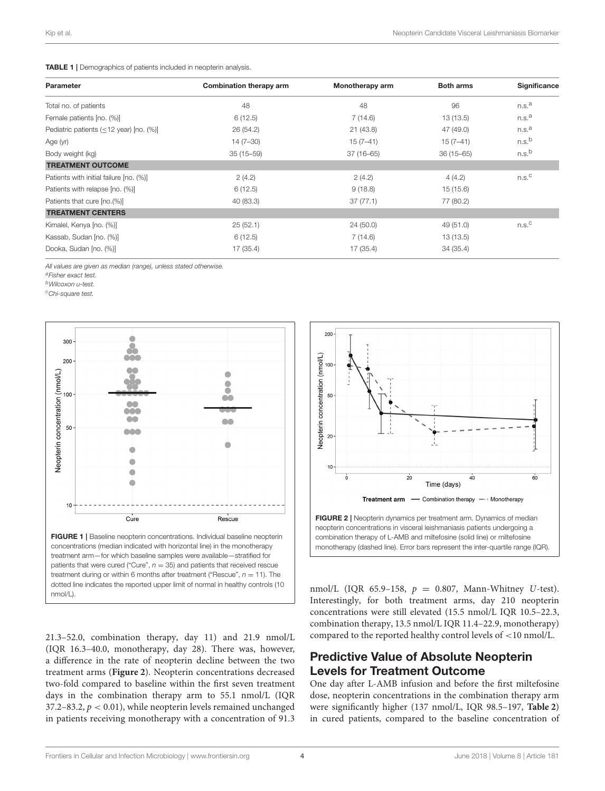#### <span id="page-3-0"></span>TABLE 1 | Demographics of patients included in neopterin analysis.

| Monotherapy arm | <b>Both arms</b>                                                                                                                                    | Significance      |
|-----------------|-----------------------------------------------------------------------------------------------------------------------------------------------------|-------------------|
| 48              | 96                                                                                                                                                  | n.s. <sup>a</sup> |
| 7(14.6)         | 13(13.5)                                                                                                                                            | n.s. <sup>a</sup> |
| 21(43.8)        | 47 (49.0)                                                                                                                                           | n.s. <sup>a</sup> |
| $15(7-41)$      | $15(7-41)$                                                                                                                                          | n.s. <sup>b</sup> |
| $37(16 - 65)$   | $36(15 - 65)$                                                                                                                                       | n.s. <sup>b</sup> |
|                 |                                                                                                                                                     |                   |
| 2(4.2)          | 4(4.2)                                                                                                                                              | n.s. <sup>C</sup> |
| 9(18.8)         | 15 (15.6)                                                                                                                                           |                   |
| 37(77.1)        | 77 (80.2)                                                                                                                                           |                   |
|                 |                                                                                                                                                     |                   |
| 24(50.0)        | 49 (51.0)                                                                                                                                           | n.s. <sup>C</sup> |
| 7(14.6)         | 13(13.5)                                                                                                                                            |                   |
| 17(35.4)        | 34 (35.4)                                                                                                                                           |                   |
|                 | Combination therapy arm<br>6(12.5)<br>26(54.2)<br>$14(7-30)$<br>$35(15 - 59)$<br>2(4.2)<br>6(12.5)<br>40 (83.3)<br>25(52.1)<br>6(12.5)<br>17 (35.4) |                   |

All values are given as median (range), unless stated otherwise.

<sup>a</sup>Fisher exact test.

<sup>b</sup>Wilcoxon u-test.

<sup>c</sup>Chi-square test.



<span id="page-3-1"></span>21.3–52.0, combination therapy, day 11) and 21.9 nmol/L (IQR 16.3–40.0, monotherapy, day 28). There was, however, a difference in the rate of neopterin decline between the two treatment arms (**[Figure 2](#page-3-2)**). Neopterin concentrations decreased two-fold compared to baseline within the first seven treatment days in the combination therapy arm to 55.1 nmol/L (IQR 37.2–83.2,  $p < 0.01$ ), while neopterin levels remained unchanged in patients receiving monotherapy with a concentration of 91.3



<span id="page-3-2"></span>combination therapy of L-AMB and miltefosine (solid line) or miltefosine monotherapy (dashed line). Error bars represent the inter-quartile range (IQR).

nmol/L (IQR 65.9-158,  $p = 0.807$ , Mann-Whitney U-test). Interestingly, for both treatment arms, day 210 neopterin concentrations were still elevated (15.5 nmol/L IQR 10.5–22.3, combination therapy, 13.5 nmol/L IQR 11.4–22.9, monotherapy) compared to the reported healthy control levels of <10 nmol/L.

# Predictive Value of Absolute Neopterin Levels for Treatment Outcome

One day after L-AMB infusion and before the first miltefosine dose, neopterin concentrations in the combination therapy arm were significantly higher (137 nmol/L, IQR 98.5–197, **[Table 2](#page-4-0)**) in cured patients, compared to the baseline concentration of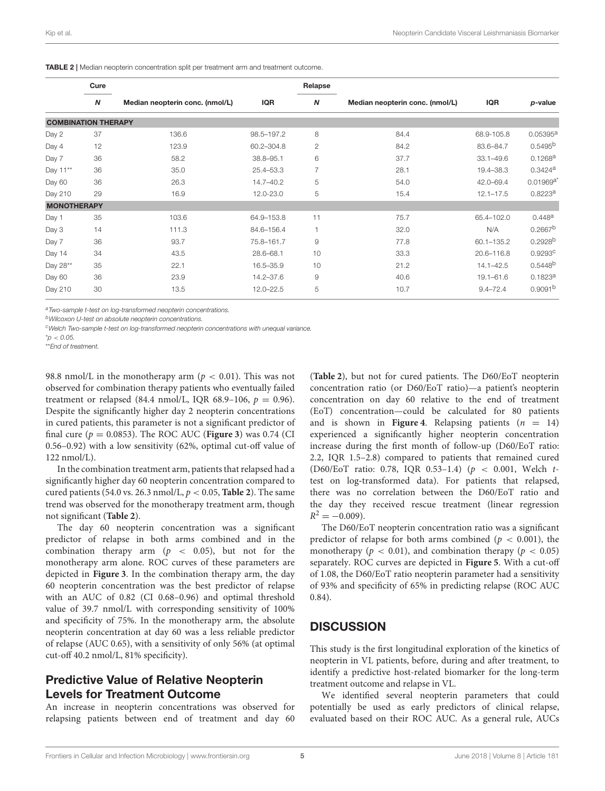|                            | Cure             |                                 |               | Relapse                |                                 |               |                       |
|----------------------------|------------------|---------------------------------|---------------|------------------------|---------------------------------|---------------|-----------------------|
|                            | $\boldsymbol{N}$ | Median neopterin conc. (nmol/L) | <b>IQR</b>    | $\boldsymbol{N}$       | Median neopterin conc. (nmol/L) | <b>IQR</b>    | p-value               |
| <b>COMBINATION THERAPY</b> |                  |                                 |               |                        |                                 |               |                       |
| Day 2                      | 37               | 136.6                           | 98.5-197.2    | 8                      | 84.4                            | 68.9-105.8    | 0.05395a              |
| Day 4                      | 12               | 123.9                           | 60.2-304.8    | $\overline{c}$         | 84.2                            | 83.6-84.7     | 0.5495 <sup>b</sup>   |
| Day 7                      | 36               | 58.2                            | 38.8-95.1     | 6                      | 37.7                            | $33.1 - 49.6$ | 0.1268 <sup>a</sup>   |
| Day 11**                   | 36               | 35.0                            | 25.4-53.3     | $\overline{7}$         | 28.1                            | 19.4-38.3     | $0.3424$ <sup>a</sup> |
| Day 60                     | 36               | 26.3                            | $14.7 - 40.2$ | 5                      | 54.0                            | 42.0-69.4     | $0.01969a^3$          |
| Day 210                    | 29               | 16.9                            | 12.0-23.0     | 5                      | 15.4                            | $12.1 - 17.5$ | 0.8223a               |
| <b>MONOTHERAPY</b>         |                  |                                 |               |                        |                                 |               |                       |
| Day 1                      | 35               | 103.6                           | 64.9-153.8    | 11                     | 75.7                            | 65.4-102.0    | 0.448a                |
| Day 3                      | 14               | 111.3                           | 84.6-156.4    | $\overline{1}$         | 32.0                            | N/A           | $0.2667^{b}$          |
| Day 7                      | 36               | 93.7                            | 75.8-161.7    | 9                      | 77.8                            | 60.1-135.2    | $0.2928^{b}$          |
| Day 14                     | 34               | 43.5                            | 28.6-68.1     | 10                     | 33.3                            | 20.6-116.8    | 0.9293c               |
| Day 28**                   | 35               | 22.1                            | 16.5-35.9     | 10                     | 21.2                            | $14.1 - 42.5$ | 0.5448 <sup>b</sup>   |
| Day 60                     | 36               | 23.9                            | 14.2-37.6     | $\mathrel{\mathsf{g}}$ | 40.6                            | $19.1 - 61.6$ | 0.1823a               |
| Day 210                    | 30               | 13.5                            | $12.0 - 22.5$ | 5                      | 10.7                            | $9.4 - 72.4$  | 0.9091 <sup>b</sup>   |

<span id="page-4-0"></span>TABLE 2 | Median neopterin concentration split per treatment arm and treatment outcome.

a Two-sample t-test on log-transformed neopterin concentrations.

<sup>b</sup>Wilcoxon U-test on absolute neopterin concentrations.

<sup>c</sup>Welch Two-sample t-test on log-transformed neopterin concentrations with unequal variance.

 $^{\star}D < 0.05$ 

\*\*End of treatment.

98.8 nmol/L in the monotherapy arm ( $p < 0.01$ ). This was not observed for combination therapy patients who eventually failed treatment or relapsed (84.4 nmol/L, IQR 68.9-106,  $p = 0.96$ ). Despite the significantly higher day 2 neopterin concentrations in cured patients, this parameter is not a significant predictor of final cure ( $p = 0.0853$ ). The ROC AUC (**[Figure 3](#page-5-0)**) was 0.74 (CI 0.56–0.92) with a low sensitivity (62%, optimal cut-off value of 122 nmol/L).

In the combination treatment arm, patients that relapsed had a significantly higher day 60 neopterin concentration compared to cured patients (54.0 vs. 26.3 nmol/L,  $p < 0.05$ , **[Table 2](#page-4-0)**). The same trend was observed for the monotherapy treatment arm, though not significant (**[Table 2](#page-4-0)**).

The day 60 neopterin concentration was a significant predictor of relapse in both arms combined and in the combination therapy arm ( $p \le 0.05$ ), but not for the monotherapy arm alone. ROC curves of these parameters are depicted in **[Figure 3](#page-5-0)**. In the combination therapy arm, the day 60 neopterin concentration was the best predictor of relapse with an AUC of 0.82 (CI 0.68–0.96) and optimal threshold value of 39.7 nmol/L with corresponding sensitivity of 100% and specificity of 75%. In the monotherapy arm, the absolute neopterin concentration at day 60 was a less reliable predictor of relapse (AUC 0.65), with a sensitivity of only 56% (at optimal cut-off 40.2 nmol/L, 81% specificity).

#### Predictive Value of Relative Neopterin Levels for Treatment Outcome

An increase in neopterin concentrations was observed for relapsing patients between end of treatment and day 60

(**[Table 2](#page-4-0)**), but not for cured patients. The D60/EoT neopterin concentration ratio (or D60/EoT ratio)—a patient's neopterin concentration on day 60 relative to the end of treatment (EoT) concentration—could be calculated for 80 patients and is shown in **[Figure 4](#page-5-1)**. Relapsing patients  $(n = 14)$ experienced a significantly higher neopterin concentration increase during the first month of follow-up (D60/EoT ratio: 2.2, IQR 1.5–2.8) compared to patients that remained cured (D60/EoT ratio: 0.78, IQR 0.53–1.4) (p < 0.001, Welch ttest on log**-**transformed data). For patients that relapsed, there was no correlation between the D60/EoT ratio and the day they received rescue treatment (linear regression  $R^2 = -0.009$ ).

The D60/EoT neopterin concentration ratio was a significant predictor of relapse for both arms combined ( $p < 0.001$ ), the monotherapy ( $p < 0.01$ ), and combination therapy ( $p < 0.05$ ) separately. ROC curves are depicted in **[Figure 5](#page-5-2)**. With a cut-off of 1.08, the D60/EoT ratio neopterin parameter had a sensitivity of 93% and specificity of 65% in predicting relapse (ROC AUC 0.84).

## **DISCUSSION**

This study is the first longitudinal exploration of the kinetics of neopterin in VL patients, before, during and after treatment, to identify a predictive host-related biomarker for the long-term treatment outcome and relapse in VL.

We identified several neopterin parameters that could potentially be used as early predictors of clinical relapse, evaluated based on their ROC AUC. As a general rule, AUCs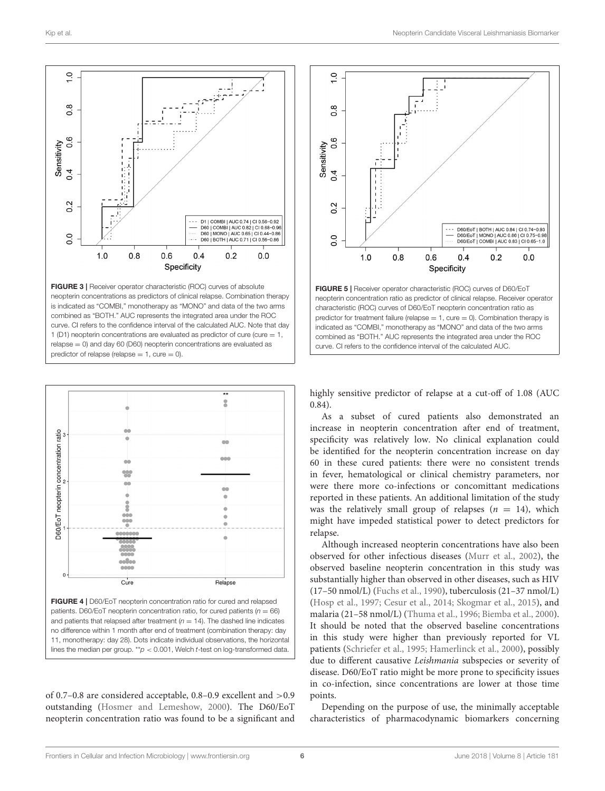

<span id="page-5-0"></span>FIGURE 3 | Receiver operator characteristic (ROC) curves of absolute neopterin concentrations as predictors of clinical relapse. Combination therapy is indicated as "COMBI," monotherapy as "MONO" and data of the two arms combined as "BOTH." AUC represents the integrated area under the ROC curve. CI refers to the confidence interval of the calculated AUC. Note that day 1 (D1) neopterin concentrations are evaluated as predictor of cure (cure  $= 1$ , relapse = 0) and day 60 (D60) neopterin concentrations are evaluated as predictor of relapse (relapse  $= 1$ , cure  $= 0$ ).



<span id="page-5-1"></span>FIGURE 4 | D60/EoT neopterin concentration ratio for cured and relapsed patients. D60/EoT neopterin concentration ratio, for cured patients ( $n = 66$ ) and patients that relapsed after treatment ( $n = 14$ ). The dashed line indicates no difference within 1 month after end of treatment (combination therapy: day 11, monotherapy: day 28). Dots indicate individual observations, the horizontal lines the median per group. \*\*p < 0.001, Welch t-test on log-transformed data.

of 0.7–0.8 are considered acceptable, 0.8–0.9 excellent and >0.9 outstanding [\(Hosmer and Lemeshow, 2000\)](#page-7-17). The D60/EoT neopterin concentration ratio was found to be a significant and



<span id="page-5-2"></span>highly sensitive predictor of relapse at a cut-off of 1.08 (AUC 0.84).

As a subset of cured patients also demonstrated an increase in neopterin concentration after end of treatment, specificity was relatively low. No clinical explanation could be identified for the neopterin concentration increase on day 60 in these cured patients: there were no consistent trends in fever, hematological or clinical chemistry parameters, nor were there more co-infections or concomittant medications reported in these patients. An additional limitation of the study was the relatively small group of relapses  $(n = 14)$ , which might have impeded statistical power to detect predictors for relapse.

Although increased neopterin concentrations have also been observed for other infectious diseases [\(Murr et al., 2002\)](#page-7-8), the observed baseline neopterin concentration in this study was substantially higher than observed in other diseases, such as HIV (17–50 nmol/L) [\(Fuchs et al., 1990\)](#page-7-18), tuberculosis (21–37 nmol/L) [\(Hosp et al., 1997;](#page-7-19) [Cesur et al., 2014;](#page-7-20) [Skogmar et al., 2015\)](#page-7-21), and malaria (21–58 nmol/L) [\(Thuma et al., 1996;](#page-7-22) [Biemba et al., 2000\)](#page-7-23). It should be noted that the observed baseline concentrations in this study were higher than previously reported for VL patients [\(Schriefer et al., 1995;](#page-7-13) [Hamerlinck et al., 2000\)](#page-7-14), possibly due to different causative Leishmania subspecies or severity of disease. D60/EoT ratio might be more prone to specificity issues in co-infection, since concentrations are lower at those time points.

Depending on the purpose of use, the minimally acceptable characteristics of pharmacodynamic biomarkers concerning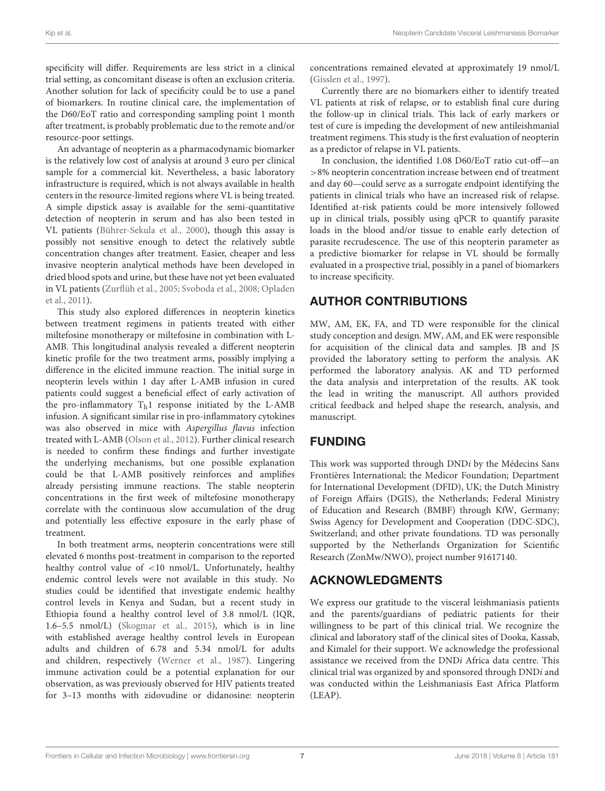specificity will differ. Requirements are less strict in a clinical trial setting, as concomitant disease is often an exclusion criteria. Another solution for lack of specificity could be to use a panel of biomarkers. In routine clinical care, the implementation of the D60/EoT ratio and corresponding sampling point 1 month after treatment, is probably problematic due to the remote and/or resource-poor settings.

An advantage of neopterin as a pharmacodynamic biomarker is the relatively low cost of analysis at around 3 euro per clinical sample for a commercial kit. Nevertheless, a basic laboratory infrastructure is required, which is not always available in health centers in the resource-limited regions where VL is being treated. A simple dipstick assay is available for the semi-quantitative detection of neopterin in serum and has also been tested in VL patients [\(Bührer-Sekula et al., 2000\)](#page-7-24), though this assay is possibly not sensitive enough to detect the relatively subtle concentration changes after treatment. Easier, cheaper and less invasive neopterin analytical methods have been developed in dried blood spots and urine, but these have not yet been evaluated in VL patients [\(Zurflüh et al., 2005;](#page-7-25) [Svoboda et al., 2008;](#page-7-26) Opladen et al., [2011\)](#page-7-27).

This study also explored differences in neopterin kinetics between treatment regimens in patients treated with either miltefosine monotherapy or miltefosine in combination with L-AMB. This longitudinal analysis revealed a different neopterin kinetic profile for the two treatment arms, possibly implying a difference in the elicited immune reaction. The initial surge in neopterin levels within 1 day after L-AMB infusion in cured patients could suggest a beneficial effect of early activation of the pro-inflammatory  $T<sub>h</sub>1$  response initiated by the L-AMB infusion. A significant similar rise in pro-inflammatory cytokines was also observed in mice with Aspergillus flavus infection treated with L-AMB [\(Olson et al., 2012\)](#page-7-28). Further clinical research is needed to confirm these findings and further investigate the underlying mechanisms, but one possible explanation could be that L-AMB positively reinforces and amplifies already persisting immune reactions. The stable neopterin concentrations in the first week of miltefosine monotherapy correlate with the continuous slow accumulation of the drug and potentially less effective exposure in the early phase of treatment.

In both treatment arms, neopterin concentrations were still elevated 6 months post-treatment in comparison to the reported healthy control value of <10 nmol/L. Unfortunately, healthy endemic control levels were not available in this study. No studies could be identified that investigate endemic healthy control levels in Kenya and Sudan, but a recent study in Ethiopia found a healthy control level of 3.8 nmol/L (IQR, 1.6–5.5 nmol/L) [\(Skogmar et al., 2015\)](#page-7-21), which is in line with established average healthy control levels in European adults and children of 6.78 and 5.34 nmol/L for adults and children, respectively [\(Werner et al., 1987\)](#page-7-12). Lingering immune activation could be a potential explanation for our observation, as was previously observed for HIV patients treated for 3–13 months with zidovudine or didanosine: neopterin

concentrations remained elevated at approximately 19 nmol/L [\(Gisslen et al., 1997\)](#page-7-29).

Currently there are no biomarkers either to identify treated VL patients at risk of relapse, or to establish final cure during the follow-up in clinical trials. This lack of early markers or test of cure is impeding the development of new antileishmanial treatment regimens. This study is the first evaluation of neopterin as a predictor of relapse in VL patients.

In conclusion, the identified 1.08 D60/EoT ratio cut-off—an >8% neopterin concentration increase between end of treatment and day 60—could serve as a surrogate endpoint identifying the patients in clinical trials who have an increased risk of relapse. Identified at-risk patients could be more intensively followed up in clinical trials, possibly using qPCR to quantify parasite loads in the blood and/or tissue to enable early detection of parasite recrudescence. The use of this neopterin parameter as a predictive biomarker for relapse in VL should be formally evaluated in a prospective trial, possibly in a panel of biomarkers to increase specificity.

# AUTHOR CONTRIBUTIONS

MW, AM, EK, FA, and TD were responsible for the clinical study conception and design. MW, AM, and EK were responsible for acquisition of the clinical data and samples. JB and JS provided the laboratory setting to perform the analysis. AK performed the laboratory analysis. AK and TD performed the data analysis and interpretation of the results. AK took the lead in writing the manuscript. All authors provided critical feedback and helped shape the research, analysis, and manuscript.

# FUNDING

This work was supported through DNDi by the Médecins Sans Frontières International; the Medicor Foundation; Department for International Development (DFID), UK; the Dutch Ministry of Foreign Affairs (DGIS), the Netherlands; Federal Ministry of Education and Research (BMBF) through KfW, Germany; Swiss Agency for Development and Cooperation (DDC-SDC), Switzerland; and other private foundations. TD was personally supported by the Netherlands Organization for Scientific Research (ZonMw/NWO), project number 91617140.

# ACKNOWLEDGMENTS

We express our gratitude to the visceral leishmaniasis patients and the parents/guardians of pediatric patients for their willingness to be part of this clinical trial. We recognize the clinical and laboratory staff of the clinical sites of Dooka, Kassab, and Kimalel for their support. We acknowledge the professional assistance we received from the DNDi Africa data centre. This clinical trial was organized by and sponsored through DNDi and was conducted within the Leishmaniasis East Africa Platform (LEAP).